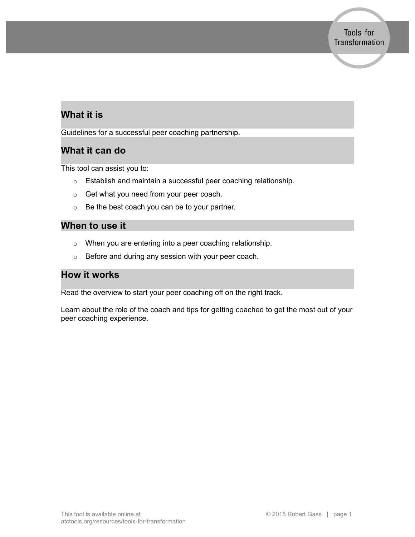# **What it is**

Guidelines for a successful peer coaching partnership.

## **What it can do**

This tool can assist you to:

- o Establish and maintain a successful peer coaching relationship.
- o Get what you need from your peer coach.
- o Be the best coach you can be to your partner.

### **When to use it**

- o When you are entering into a peer coaching relationship.
- o Before and during any session with your peer coach.

## **How it works**

Read the overview to start your peer coaching off on the right track.

Learn about the role of the coach and tips for getting coached to get the most out of your peer coaching experience.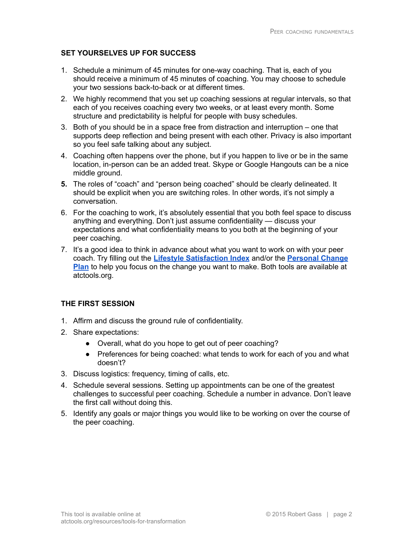#### **SET YOURSELVES UP FOR SUCCESS**

- 1. Schedule a minimum of 45 minutes for one-way coaching. That is, each of you should receive a minimum of 45 minutes of coaching. You may choose to schedule your two sessions back-to-back or at different times.
- 2. We highly recommend that you set up coaching sessions at regular intervals, so that each of you receives coaching every two weeks, or at least every month. Some structure and predictability is helpful for people with busy schedules.
- 3. Both of you should be in a space free from distraction and interruption one that supports deep reflection and being present with each other. Privacy is also important so you feel safe talking about any subject.
- 4. Coaching often happens over the phone, but if you happen to live or be in the same location, in-person can be an added treat. Skype or Google Hangouts can be a nice middle ground.
- **5.** The roles of "coach" and "person being coached" should be clearly delineated. It should be explicit when you are switching roles. In other words, it's not simply a conversation.
- 6. For the coaching to work, it's absolutely essential that you both feel space to discuss anything and everything. Don't just assume confidentiality — discuss your expectations and what confidentiality means to you both at the beginning of your peer coaching.
- 7. It's a good idea to think in advance about what you want to work on with your peer coach. Try filling out the **Lifestyle [Satisfaction](https://atctools.org/toolkit_tool/lifestyle-satisfaction-index) Index** and/or the **[Personal](https://atctools.org/toolkit_tool/personal-change-plan/) Change [Plan](https://atctools.org/toolkit_tool/personal-change-plan/)** to help you focus on the change you want to make. Both tools are available at atctools.org.

#### **THE FIRST SESSION**

- 1. Affirm and discuss the ground rule of confidentiality.
- 2. Share expectations:
	- Overall, what do you hope to get out of peer coaching?
	- Preferences for being coached: what tends to work for each of you and what doesn't?
- 3. Discuss logistics: frequency, timing of calls, etc.
- 4. Schedule several sessions. Setting up appointments can be one of the greatest challenges to successful peer coaching. Schedule a number in advance. Don't leave the first call without doing this.
- 5. Identify any goals or major things you would like to be working on over the course of the peer coaching.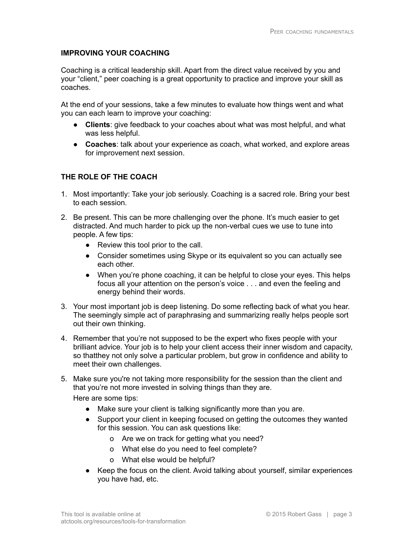#### **IMPROVING YOUR COACHING**

Coaching is a critical leadership skill. Apart from the direct value received by you and your "client," peer coaching is a great opportunity to practice and improve your skill as coaches.

At the end of your sessions, take a few minutes to evaluate how things went and what you can each learn to improve your coaching:

- **Clients**: give feedback to your coaches about what was most helpful, and what was less helpful.
- **● Coaches**: talk about your experience as coach, what worked, and explore areas for improvement next session.

### **THE ROLE OF THE COACH**

- 1. Most importantly: Take your job seriously. Coaching is a sacred role. Bring your best to each session.
- 2. Be present. This can be more challenging over the phone. It's much easier to get distracted. And much harder to pick up the non-verbal cues we use to tune into people. A few tips:
	- Review this tool prior to the call.
	- Consider sometimes using Skype or its equivalent so you can actually see each other.
	- When you're phone coaching, it can be helpful to close your eyes. This helps focus all your attention on the person's voice . . . and even the feeling and energy behind their words.
- 3. Your most important job is deep listening. Do some reflecting back of what you hear. The seemingly simple act of paraphrasing and summarizing really helps people sort out their own thinking.
- 4. Remember that you're not supposed to be the expert who fixes people with your brilliant advice. Your job is to help your client access their inner wisdom and capacity, so thatthey not only solve a particular problem, but grow in confidence and ability to meet their own challenges.
- 5. Make sure you're not taking more responsibility for the session than the client and that you're not more invested in solving things than they are.

Here are some tips:

- Make sure your client is talking significantly more than you are.
- Support your client in keeping focused on getting the outcomes they wanted for this session. You can ask questions like:
	- o Are we on track for getting what you need?
	- o What else do you need to feel complete?
	- o What else would be helpful?
- Keep the focus on the client. Avoid talking about yourself, similar experiences you have had, etc.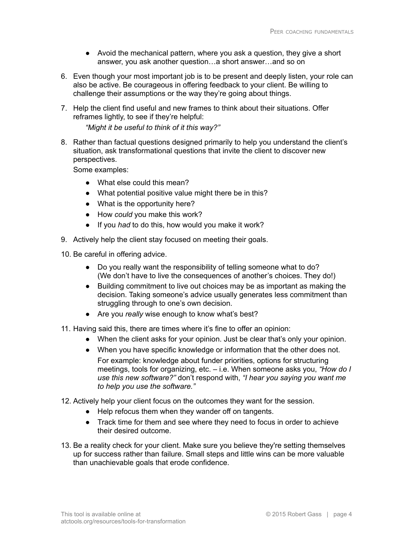- Avoid the mechanical pattern, where you ask a question, they give a short answer, you ask another question…a short answer…and so on
- 6. Even though your most important job is to be present and deeply listen, your role can also be active. Be courageous in offering feedback to your client. Be willing to challenge their assumptions or the way they're going about things.
- 7. Help the client find useful and new frames to think about their situations. Offer reframes lightly, to see if they're helpful:

*"Might it be useful to think of it this way?"*

8. Rather than factual questions designed primarily to help you understand the client's situation, ask transformational questions that invite the client to discover new perspectives.

Some examples:

- What else could this mean?
- What potential positive value might there be in this?
- What is the opportunity here?
- How *could* you make this work?
- If you *had* to do this, how would you make it work?
- 9. Actively help the client stay focused on meeting their goals.

10. Be careful in offering advice.

- Do you really want the responsibility of telling someone what to do? (We don't have to live the consequences of another's choices. They do!)
- Building commitment to live out choices may be as important as making the decision. Taking someone's advice usually generates less commitment than struggling through to one's own decision.
- Are you *really* wise enough to know what's best?

11. Having said this, there are times where it's fine to offer an opinion:

- When the client asks for your opinion. Just be clear that's only your opinion.
- When you have specific knowledge or information that the other does not. For example: knowledge about funder priorities, options for structuring meetings, tools for organizing, etc. – i.e. When someone asks you, *"How do I use this new software?"* don't respond with, *"I hear you saying you want me to help you use the software."*
- 12. Actively help your client focus on the outcomes they want for the session.
	- Help refocus them when they wander off on tangents.
	- Track time for them and see where they need to focus in order to achieve their desired outcome.
- 13. Be a reality check for your client. Make sure you believe they're setting themselves up for success rather than failure. Small steps and little wins can be more valuable than unachievable goals that erode confidence.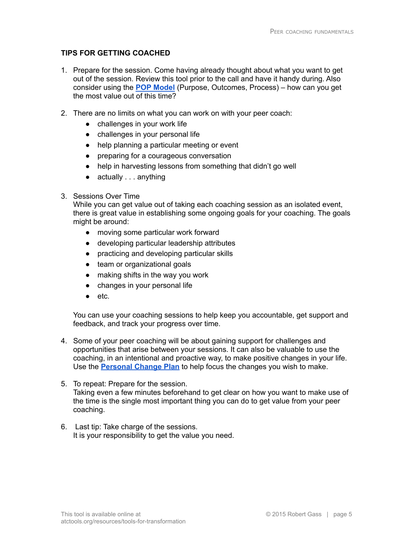#### **TIPS FOR GETTING COACHED**

- 1. Prepare for the session. Come having already thought about what you want to get out of the session. Review this tool prior to the call and have it handy during. Also consider using the **POP [Model](https://atctools.org/toolkit_tool/the-fabulous-pop-model/)** (Purpose, Outcomes, Process) – how can you get the most value out of this time?
- 2. There are no limits on what you can work on with your peer coach:
	- challenges in your work life
	- challenges in your personal life
	- help planning a particular meeting or event
	- preparing for a courageous conversation
	- help in harvesting lessons from something that didn't go well
	- $\bullet$  actually . . . anything

#### 3. Sessions Over Time

While you can get value out of taking each coaching session as an isolated event, there is great value in establishing some ongoing goals for your coaching. The goals might be around:

- moving some particular work forward
- developing particular leadership attributes
- practicing and developing particular skills
- team or organizational goals
- making shifts in the way you work
- changes in your personal life
- etc.

You can use your coaching sessions to help keep you accountable, get support and feedback, and track your progress over time.

- 4. Some of your peer coaching will be about gaining support for challenges and opportunities that arise between your sessions. It can also be valuable to use the coaching, in an intentional and proactive way, to make positive changes in your life. Use the **[Personal](https://atctools.org/toolkit_tool/personal-change-plan/) Change Plan** to help focus the changes you wish to make.
- 5. To repeat: Prepare for the session. Taking even a few minutes beforehand to get clear on how you want to make use of the time is the single most important thing you can do to get value from your peer coaching.
- 6. Last tip: Take charge of the sessions. It is your responsibility to get the value you need.